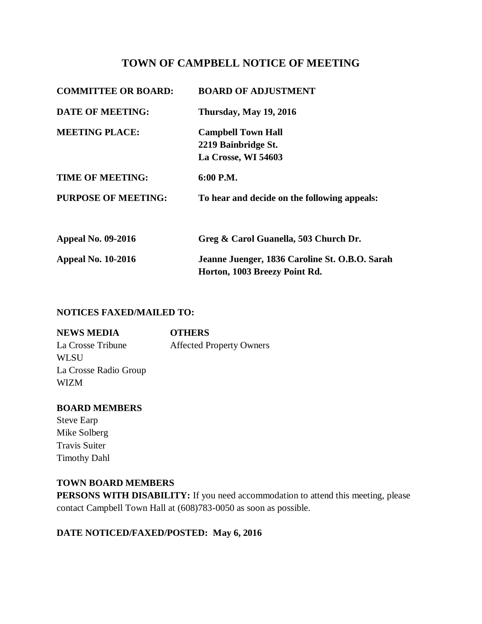# **TOWN OF CAMPBELL NOTICE OF MEETING**

| <b>COMMITTEE OR BOARD:</b> | <b>BOARD OF ADJUSTMENT</b>                                                      |
|----------------------------|---------------------------------------------------------------------------------|
| <b>DATE OF MEETING:</b>    | Thursday, May 19, 2016                                                          |
| <b>MEETING PLACE:</b>      | <b>Campbell Town Hall</b><br>2219 Bainbridge St.                                |
|                            | La Crosse, WI 54603                                                             |
| <b>TIME OF MEETING:</b>    | 6:00 P.M.                                                                       |
| <b>PURPOSE OF MEETING:</b> | To hear and decide on the following appeals:                                    |
|                            |                                                                                 |
| <b>Appeal No. 09-2016</b>  | Greg & Carol Guanella, 503 Church Dr.                                           |
| <b>Appeal No. 10-2016</b>  | Jeanne Juenger, 1836 Caroline St. O.B.O. Sarah<br>Horton, 1003 Breezy Point Rd. |

### **NOTICES FAXED/MAILED TO:**

| <b>NEWS MEDIA</b>     | <b>OTHERS</b>                   |
|-----------------------|---------------------------------|
| La Crosse Tribune     | <b>Affected Property Owners</b> |
| WL SU                 |                                 |
| La Crosse Radio Group |                                 |
| WIZM                  |                                 |

### **BOARD MEMBERS**

Steve Earp Mike Solberg Travis Suiter Timothy Dahl

### **TOWN BOARD MEMBERS**

**PERSONS WITH DISABILITY:** If you need accommodation to attend this meeting, please contact Campbell Town Hall at (608)783-0050 as soon as possible.

# **DATE NOTICED/FAXED/POSTED: May 6, 2016**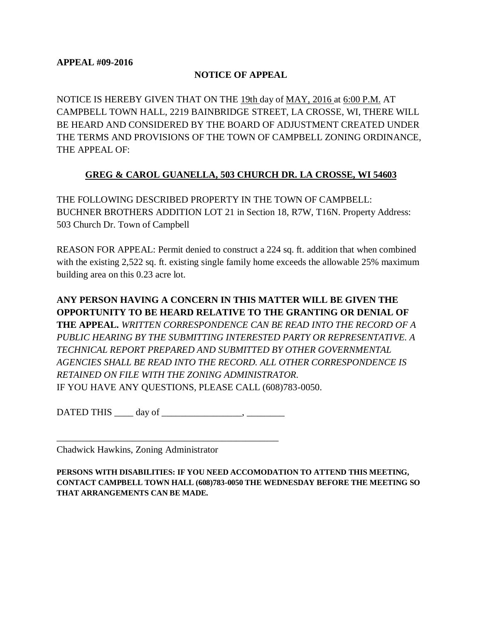### **NOTICE OF APPEAL**

NOTICE IS HEREBY GIVEN THAT ON THE 19th day of MAY, 2016 at 6:00 P.M. AT CAMPBELL TOWN HALL, 2219 BAINBRIDGE STREET, LA CROSSE, WI, THERE WILL BE HEARD AND CONSIDERED BY THE BOARD OF ADJUSTMENT CREATED UNDER THE TERMS AND PROVISIONS OF THE TOWN OF CAMPBELL ZONING ORDINANCE, THE APPEAL OF:

### **GREG & CAROL GUANELLA, 503 CHURCH DR. LA CROSSE, WI 54603**

THE FOLLOWING DESCRIBED PROPERTY IN THE TOWN OF CAMPBELL: BUCHNER BROTHERS ADDITION LOT 21 in Section 18, R7W, T16N. Property Address: 503 Church Dr. Town of Campbell

REASON FOR APPEAL: Permit denied to construct a 224 sq. ft. addition that when combined with the existing 2,522 sq. ft. existing single family home exceeds the allowable 25% maximum building area on this 0.23 acre lot.

**ANY PERSON HAVING A CONCERN IN THIS MATTER WILL BE GIVEN THE OPPORTUNITY TO BE HEARD RELATIVE TO THE GRANTING OR DENIAL OF THE APPEAL.** *WRITTEN CORRESPONDENCE CAN BE READ INTO THE RECORD OF A PUBLIC HEARING BY THE SUBMITTING INTERESTED PARTY OR REPRESENTATIVE. A TECHNICAL REPORT PREPARED AND SUBMITTED BY OTHER GOVERNMENTAL AGENCIES SHALL BE READ INTO THE RECORD. ALL OTHER CORRESPONDENCE IS RETAINED ON FILE WITH THE ZONING ADMINISTRATOR.*  IF YOU HAVE ANY QUESTIONS, PLEASE CALL (608)783-0050.

DATED THIS day of  $\qquad \qquad$ 

\_\_\_\_\_\_\_\_\_\_\_\_\_\_\_\_\_\_\_\_\_\_\_\_\_\_\_\_\_\_\_\_\_\_\_\_\_\_\_\_\_\_\_\_\_\_\_

Chadwick Hawkins, Zoning Administrator

**PERSONS WITH DISABILITIES: IF YOU NEED ACCOMODATION TO ATTEND THIS MEETING, CONTACT CAMPBELL TOWN HALL (608)783-0050 THE WEDNESDAY BEFORE THE MEETING SO THAT ARRANGEMENTS CAN BE MADE.**